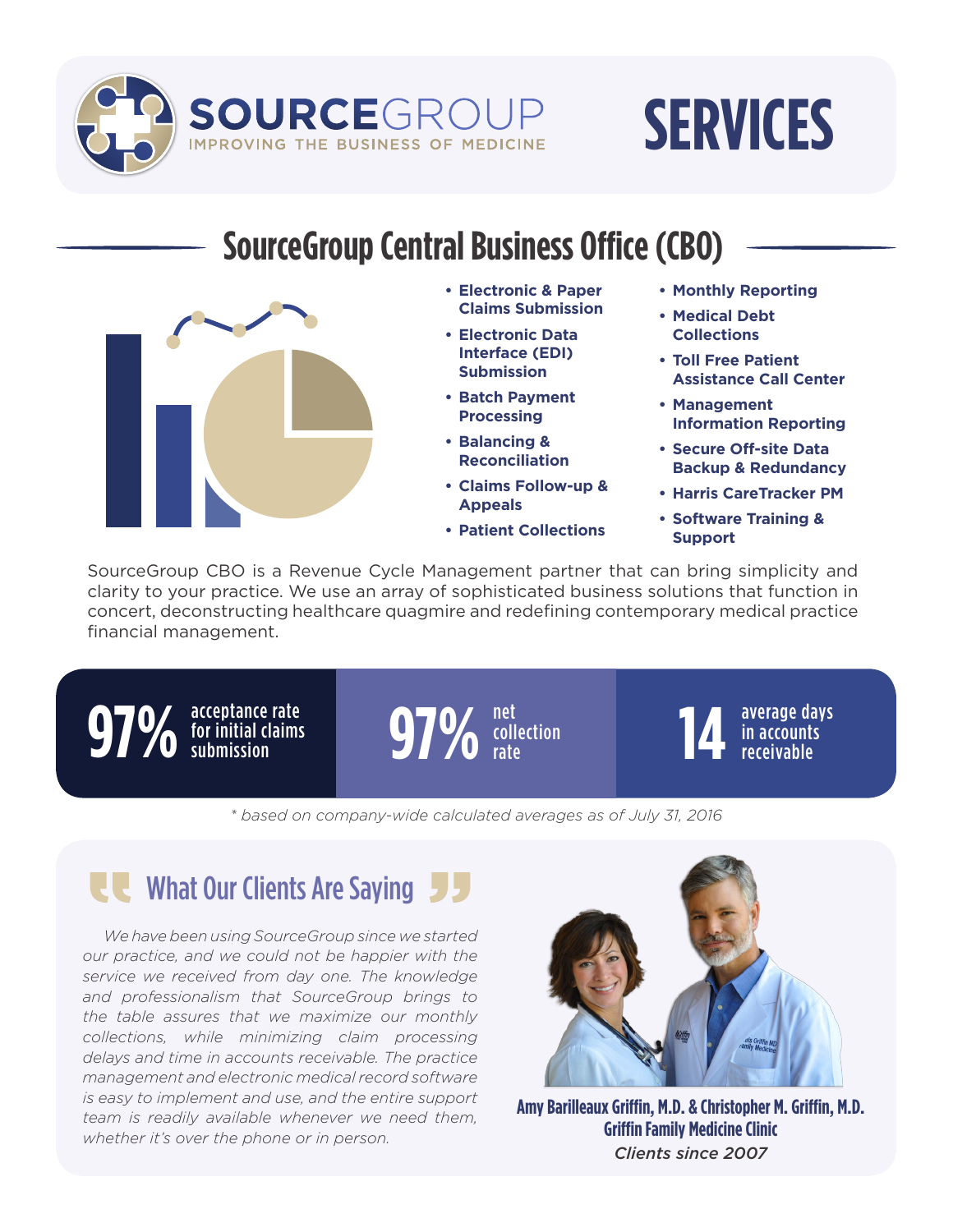

# **SERVICES**

### **SourceGroup Central Business Office (CBO)**



- **• Electronic & Paper Claims Submission**
- **• Electronic Data Interface (EDI) Submission**
- **• Batch Payment Processing**
- **• Balancing & Reconciliation**
- **• Claims Follow-up & Appeals**
- **• Patient Collections**
- **• Monthly Reporting**
- **• Medical Debt Collections**
- **• Toll Free Patient Assistance Call Center**
- **• Management Information Reporting**
- **• Secure Off-site Data Backup & Redundancy**
- **• Harris CareTracker PM**
- **• Software Training & Support**

SourceGroup CBO is a Revenue Cycle Management partner that can bring simplicity and clarity to your practice. We use an array of sophisticated business solutions that function in concert, deconstructing healthcare quagmire and redefining contemporary medical practice financial management.

**97%** acceptance rate<br>submission for initial claims

submission **97%** net collection

net<br>collection **144 average days**<br>rate receivable in accounts receivable

*\* based on company-wide calculated averages as of July 31, 2016*

### **LE** What Our Clients Are Saying

*We have been using SourceGroup since we started our practice, and we could not be happier with the service we received from day one. The knowledge and professionalism that SourceGroup brings to the table assures that we maximize our monthly collections, while minimizing claim processing delays and time in accounts receivable. The practice management and electronic medical record software is easy to implement and use, and the entire support team is readily available whenever we need them, whether it's over the phone or in person.*



**Amy Barilleaux Griffin, M.D. & Christopher M. Griffin, M.D. Griffin Family Medicine Clinic** *Clients since 2007*